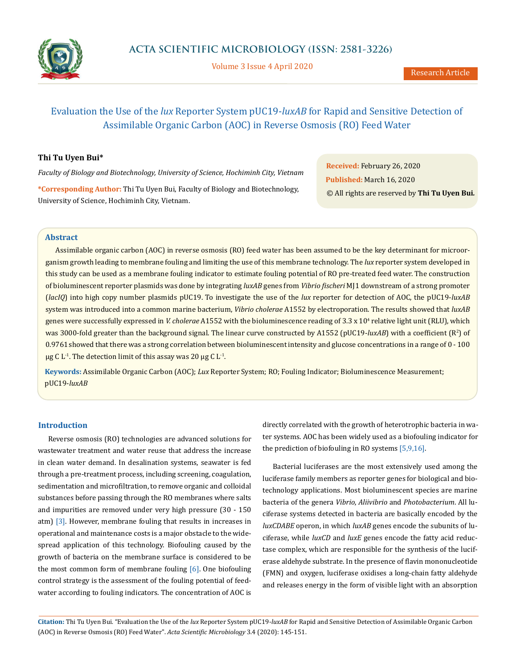

Volume 3 Issue 4 April 2020

# Evaluation the Use of the *lux* Reporter System pUC19-*luxAB* for Rapid and Sensitive Detection of Assimilable Organic Carbon (AOC) in Reverse Osmosis (RO) Feed Water

# **Thi Tu Uyen Bui\***

*Faculty of Biology and Biotechnology, University of Science, Hochiminh City, Vietnam*

**\*Corresponding Author:** Thi Tu Uyen Bui, Faculty of Biology and Biotechnology, University of Science, Hochiminh City, Vietnam.

**Received:** February 26, 2020 **Published:** March 16, 2020 © All rights are reserved by **Thi Tu Uyen Bui***.*

## **Abstract**

Assimilable organic carbon (AOC) in reverse osmosis (RO) feed water has been assumed to be the key determinant for microorganism growth leading to membrane fouling and limiting the use of this membrane technology. The *lux* reporter system developed in this study can be used as a membrane fouling indicator to estimate fouling potential of RO pre-treated feed water. The construction of bioluminescent reporter plasmids was done by integrating *luxAB* genes from *Vibrio fischeri* MJ1 downstream of a strong promoter (*lacIQ*) into high copy number plasmids pUC19. To investigate the use of the *lux* reporter for detection of AOC, the pUC19-*luxAB*  system was introduced into a common marine bacterium, *Vibrio cholerae* A1552 by electroporation. The results showed that *luxAB* genes were successfully expressed in *V. cholerae* A1552 with the bioluminescence reading of 3.3 x 10<sup>4</sup> relative light unit (RLU), which was 3000-fold greater than the background signal. The linear curve constructed by A1552 (pUC19*-luxAB*) with a coefficient (R<sup>2</sup>) of 0.9761 showed that there was a strong correlation between bioluminescent intensity and glucose concentrations in a range of 0 - 100  $\mu$ g C L<sup>-1</sup>. The detection limit of this assay was 20  $\mu$ g C L<sup>-1</sup>.

**Keywords:** Assimilable Organic Carbon (AOC); *Lux* Reporter System; RO; Fouling Indicator; Bioluminescence Measurement; pUC19-*luxAB*

## **Introduction**

Reverse osmosis (RO) technologies are advanced solutions for wastewater treatment and water reuse that address the increase in clean water demand. In desalination systems, seawater is fed through a pre-treatment process, including screening, coagulation, sedimentation and microfiltration, to remove organic and colloidal substances before passing through the RO membranes where salts and impurities are removed under very high pressure (30 - 150 atm) [3]. However, membrane fouling that results in increases in operational and maintenance costs is a major obstacle to the widespread application of this technology. Biofouling caused by the growth of bacteria on the membrane surface is considered to be the most common form of membrane fouling  $[6]$ . One biofouling control strategy is the assessment of the fouling potential of feedwater according to fouling indicators. The concentration of AOC is directly correlated with the growth of heterotrophic bacteria in water systems. AOC has been widely used as a biofouling indicator for the prediction of biofouling in RO systems [5,9,16].

Bacterial luciferases are the most extensively used among the luciferase family members as reporter genes for biological and biotechnology applications. Most bioluminescent species are marine bacteria of the genera *Vibrio*, *Aliivibrio* and *Photobacterium*. All luciferase systems detected in bacteria are basically encoded by the *luxCDABE* operon, in which *luxAB* genes encode the subunits of luciferase, while *luxCD* and *luxE* genes encode the fatty acid reductase complex, which are responsible for the synthesis of the luciferase aldehyde substrate. In the presence of flavin mononucleotide (FMN) and oxygen, luciferase oxidises a long-chain fatty aldehyde and releases energy in the form of visible light with an absorption

**Citation:** Thi Tu Uyen Bui*.* "Evaluation the Use of the *lux* Reporter System pUC19-*luxAB* for Rapid and Sensitive Detection of Assimilable Organic Carbon (AOC) in Reverse Osmosis (RO) Feed Water". *Acta Scientific Microbiology* 3.4 (2020): 145-151.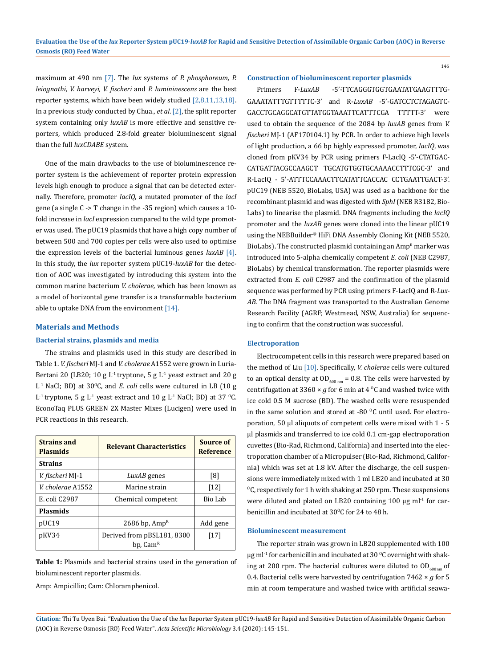maximum at 490 nm [7]. The *lux* systems of *P. phosphoreum, P. leiognathi, V. harveyi, V. fischeri* and *P. lumininescens* are the best reporter systems, which have been widely studied [2,8,11,13,18]. In a previous study conducted by Chua., *et al*. [2], the split reporter system containing only *luxAB* is more effective and sensitive reporters, which produced 2.8-fold greater bioluminescent signal than the full *luxCDABE* system*.*

One of the main drawbacks to the use of bioluminescence reporter system is the achievement of reporter protein expression levels high enough to produce a signal that can be detected externally. Therefore, promoter *lacIQ*, a mutated promoter of the *lacI* gene (a single C -> T change in the -35 region) which causes a 10 fold increase in *lacI* expression compared to the wild type promoter was used. The pUC19 plasmids that have a high copy number of between 500 and 700 copies per cells were also used to optimise the expression levels of the bacterial luminous genes *luxAB* [4]. In this study, the *lux* reporter system pUC19-*luxAB* for the detection of AOC was investigated by introducing this system into the common marine bacterium *V. cholerae,* which has been known as a model of horizontal gene transfer is a transformable bacterium able to uptake DNA from the environment [14].

#### **Materials and Methods**

## **Bacterial strains, plasmids and media**

The strains and plasmids used in this study are described in Table 1. *V. fischeri* MJ-1 and *V. cholerae* A1552 were grown in Luria-Bertani 20 (LB20; 10 g  $L^1$  tryptone, 5 g  $L^1$  yeast extract and 20 g L<sup>-1</sup> NaCl; BD) at 30<sup>o</sup>C, and *E. coli* cells were cultured in LB (10 g L<sup>1</sup> tryptone, 5 g L<sup>1</sup> yeast extract and 10 g L<sup>1</sup> NaCl; BD) at 37 <sup>o</sup>C. EconoTaq PLUS GREEN 2X Master Mixes (Lucigen) were used in PCR reactions in this research.

| <b>Strains and</b><br><b>Plasmids</b> | <b>Relevant Characteristics</b>                    | Source of<br><b>Reference</b> |
|---------------------------------------|----------------------------------------------------|-------------------------------|
| <b>Strains</b>                        |                                                    |                               |
| V. fischeri MJ-1                      | LuxAB genes                                        | [8]                           |
| V. cholerae A1552                     | Marine strain                                      | $[12]$                        |
| E. coli C2987                         | Chemical competent                                 | Bio Lab                       |
| <b>Plasmids</b>                       |                                                    |                               |
| pUC19                                 | 2686 bp, Amp <sup>R</sup>                          | Add gene                      |
| pKV34                                 | Derived from pBSL181, 8300<br>bp, Cam <sup>R</sup> | $[17]$                        |

**Table 1:** Plasmids and bacterial strains used in the generation of bioluminescent reporter plasmids.

Amp: Ampicillin; Cam: Chloramphenicol.

#### **Construction of bioluminescent reporter plasmids**

146

Primers F-*LuxAB* -5'-TTCAGGGTGGTGAATATGAAGTTTG-GAAATATTTGTTTTTC-3' and R-*LuxAB* -5'-GATCCTCTAGAGTC-GACCTGCAGGCATGTTATGGTAAATTCATTTCGA TTTTT-3' were used to obtain the sequence of the 2084 bp *luxAB* genes from *V. fischeri* MJ-1 (AF170104.1) by PCR. In order to achieve high levels of light production, a 66 bp highly expressed promoter, *lacIQ*, was cloned from pKV34 by PCR using primers F-LacIQ -5'-CTATGAC-CATGATTACGCCAAGCT TGCATGTGGTGCAAAACCTTTCGC-3' and R-LacIQ - 5'-ATTTCCAAACTTCATATTCACCAC CCTGAATTGACT-3'. pUC19 (NEB 5520, BioLabs, USA) was used as a backbone for the recombinant plasmid and was digested with *SphI* (NEB R3182, Bio-Labs) to linearise the plasmid. DNA fragments including the *lacIQ*  promoter and the *luxAB* genes were cloned into the linear pUC19 using the NEBBuilder® HiFi DNA Assembly Cloning Kit (NEB 5520, BioLabs). The constructed plasmid containing an Amp<sup>R</sup> marker was introduced into 5-alpha chemically competent *E. coli* (NEB C2987, BioLabs) by chemical transformation. The reporter plasmids were extracted from *E. coli* C2987 and the confirmation of the plasmid sequence was performed by PCR using primers F-LacIQ and R-*Lux-AB*. The DNA fragment was transported to the Australian Genome Research Facility (AGRF; Westmead, NSW, Australia) for sequencing to confirm that the construction was successful.

#### **Electroporation**

Electrocompetent cells in this research were prepared based on the method of Liu [10]. Specifically, *V. cholerae* cells were cultured to an optical density at  $OD_{600 \text{ nm}} = 0.8$ . The cells were harvested by centrifugation at 3360  $\times$  *g* for 6 min at 4 <sup>o</sup>C and washed twice with ice cold 0.5 M sucrose (BD). The washed cells were resuspended in the same solution and stored at -80  $^{\circ}$ C until used. For electroporation, 50 µl aliquots of competent cells were mixed with 1 - 5 µl plasmids and transferred to ice cold 0.1 cm-gap electroporation cuvettes (Bio-Rad, Richmond, California) and inserted into the electroporation chamber of a Micropulser (Bio-Rad, Richmond, California) which was set at 1.8 kV. After the discharge, the cell suspensions were immediately mixed with 1 ml LB20 and incubated at 30  $\rm{^{0}C}$ , respectively for 1 h with shaking at 250 rpm. These suspensions were diluted and plated on LB20 containing 100  $\mu$ g ml<sup>-1</sup> for carbenicillin and incubated at  $30^{\circ}$ C for 24 to 48 h.

### **Bioluminescent measurement**

The reporter strain was grown in LB20 supplemented with 100 µg ml<sup>-1</sup> for carbenicillin and incubated at 30  $\rm{^0C}$  overnight with shaking at 200 rpm. The bacterial cultures were diluted to  $OD_{600nm}$  of 0.4. Bacterial cells were harvested by centrifugation 7462 × *g* for 5 min at room temperature and washed twice with artificial seawa-

**Citation:** Thi Tu Uyen Bui*.* "Evaluation the Use of the *lux* Reporter System pUC19-*luxAB* for Rapid and Sensitive Detection of Assimilable Organic Carbon (AOC) in Reverse Osmosis (RO) Feed Water". *Acta Scientific Microbiology* 3.4 (2020): 145-151.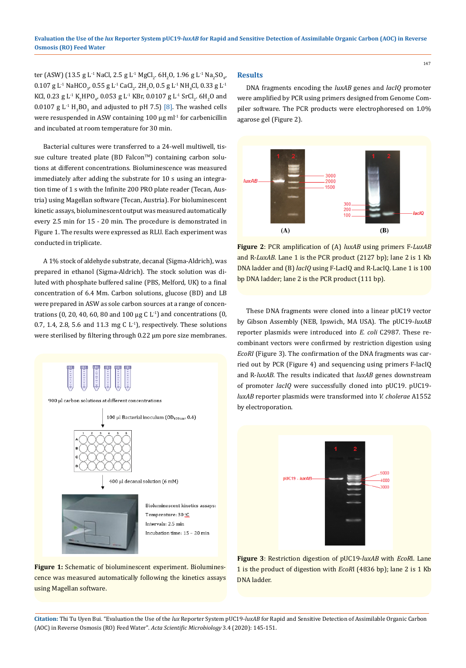ter (ASW) (13.5 g L<sup>.1</sup> NaCl, 2.5 g L<sup>.1</sup> MgCl<sub>2</sub>. 6H<sub>2</sub>O, 1.96 g L<sup>.1</sup> Na<sub>2</sub>SO<sub>4</sub>,  $0.107$  g L<sup>-1</sup> NaHCO<sub>3</sub>,  $0.55$  g L<sup>-1</sup> CaCl<sub>2</sub>. 2H<sub>2</sub>O, 0.5 g L<sup>-1</sup> NH<sub>4</sub>Cl, 0.33 g L<sup>-1</sup> KCl, 0.23 g L<sup>-1</sup> K<sub>2</sub>HPO<sub>4</sub>, 0.053 g L<sup>-1</sup> KBr, 0.0107 g L<sup>-1</sup> SrCl<sub>2</sub>. 6H<sub>2</sub>O and  $0.0107$  g L<sup>-1</sup> H<sub>3</sub>BO<sub>3</sub> and adjusted to pH 7.5) [8]. The washed cells were resuspended in ASW containing  $100 \mu g$  ml<sup>-1</sup> for carbenicillin and incubated at room temperature for 30 min.

Bacterial cultures were transferred to a 24-well multiwell, tissue culture treated plate (BD Falcon™) containing carbon solutions at different concentrations. Bioluminescence was measured immediately after adding the substrate for 10 s using an integration time of 1 s with the Infinite 200 PRO plate reader (Tecan, Austria) using Magellan software (Tecan, Austria). For bioluminescent kinetic assays, bioluminescent output was measured automatically every 2.5 min for 15 - 20 min. The procedure is demonstrated in Figure 1. The results were expressed as RLU. Each experiment was conducted in triplicate.

A 1% stock of aldehyde substrate, decanal (Sigma-Aldrich), was prepared in ethanol (Sigma-Aldrich). The stock solution was diluted with phosphate buffered saline (PBS, Melford, UK) to a final concentration of 6.4 Mm. Carbon solutions, glucose (BD) and LB were prepared in ASW as sole carbon sources at a range of concentrations (0, 20, 40, 60, 80 and 100  $\mu$ g C L<sup>1</sup>) and concentrations (0, 0.7, 1.4, 2.8, 5.6 and 11.3 mg C  $L<sup>1</sup>$ ), respectively. These solutions were sterilised by filtering through 0.22 µm pore size membranes.



**Figure 1:** Schematic of bioluminescent experiment. Bioluminescence was measured automatically following the kinetics assays using Magellan software.

### **Results**

DNA fragments encoding the *luxAB* genes and *lacIQ* promoter were amplified by PCR using primers designed from Genome Compiler software. The PCR products were electrophoresed on 1.0% agarose gel (Figure 2).



**Figure 2**: PCR amplification of (A) *luxAB* using primers F-*LuxAB* and R-*LuxAB*. Lane 1 is the PCR product (2127 bp); lane 2 is 1 Kb DNA ladder and (B) *lacIQ* using F-LacIQ and R-LacIQ. Lane 1 is 100 bp DNA ladder; lane 2 is the PCR product (111 bp).

These DNA fragments were cloned into a linear pUC19 vector by Gibson Assembly (NEB, Ipswich, MA USA). The pUC19-*luxAB* reporter plasmids were introduced into *E. coli* C2987. These recombinant vectors were confirmed by restriction digestion using *EcoRI* (Figure 3). The confirmation of the DNA fragments was carried out by PCR (Figure 4) and sequencing using primers F-lacIQ and R-*luxAB*. The results indicated that *luxAB* genes downstream of promoter *lacIQ* were successfully cloned into pUC19. pUC19 *luxAB* reporter plasmids were transformed into *V. cholerae* A1552 by electroporation.



**Figure 3**: Restriction digestion of pUC19-*luxAB* with *EcoR*I. Lane 1 is the product of digestion with *EcoR*I (4836 bp); lane 2 is 1 Kb DNA ladder.

**Citation:** Thi Tu Uyen Bui*.* "Evaluation the Use of the *lux* Reporter System pUC19-*luxAB* for Rapid and Sensitive Detection of Assimilable Organic Carbon (AOC) in Reverse Osmosis (RO) Feed Water". *Acta Scientific Microbiology* 3.4 (2020): 145-151.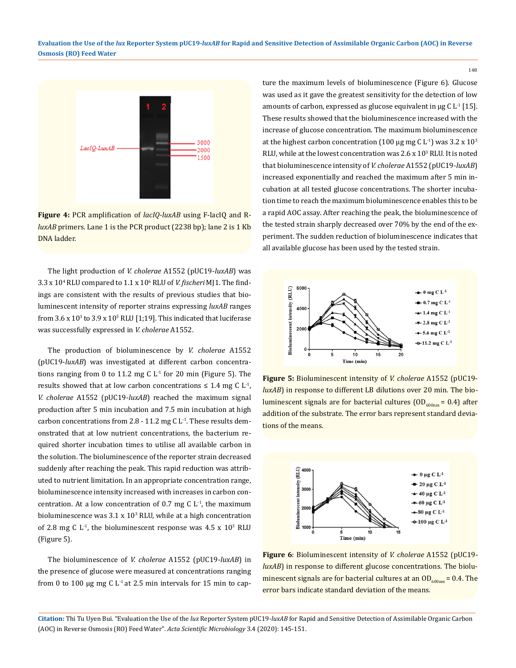

**Figure 4:** PCR amplification of *lacIQ-luxAB* using F-lacIQ and R*luxAB* primers. Lane 1 is the PCR product (2238 bp); lane 2 is 1 Kb DNA ladder.

The light production of *V. cholerae* A1552 (pUC19-*luxAB*) was 3.3 x 10<sup>4</sup> RLU compared to 1.1 x 106 RLU of *V. fischeri* MJ1. The findings are consistent with the results of previous studies that bioluminescent intensity of reporter strains expressing *luxAB* ranges from  $3.6 \times 10^3$  to  $3.9 \times 10^5$  RLU [1;19]. This indicated that luciferase was successfully expressed in *V. cholerae* A1552.

The production of bioluminescence by *V. cholerae* A1552 (pUC19-*luxAB*) was investigated at different carbon concentrations ranging from 0 to 11.2 mg C  $L<sup>-1</sup>$  for 20 min (Figure 5). The results showed that at low carbon concentrations  $\leq 1.4$  mg C L<sup>-1</sup>, *V. cholerae* A1552 (pUC19-*luxAB*) reached the maximum signal production after 5 min incubation and 7.5 min incubation at high carbon concentrations from 2.8 - 11.2 mg C  $L<sup>-1</sup>$ . These results demonstrated that at low nutrient concentrations, the bacterium required shorter incubation times to utilise all available carbon in the solution. The bioluminescence of the reporter strain decreased suddenly after reaching the peak. This rapid reduction was attributed to nutrient limitation. In an appropriate concentration range, bioluminescence intensity increased with increases in carbon concentration. At a low concentration of 0.7 mg C  $L<sup>1</sup>$ , the maximum bioluminescence was 3.1 x 103 RLU, while at a high concentration of 2.8 mg C  $L^{-1}$ , the bioluminescent response was  $4.5 \times 10^3$  RLU (Figure 5).

The bioluminescence of *V. cholerae* A1552 (pUC19-*luxAB*) in the presence of glucose were measured at concentrations ranging from 0 to 100  $\mu$ g mg C L<sup>-1</sup> at 2.5 min intervals for 15 min to capture the maximum levels of bioluminescence (Figure 6). Glucose was used as it gave the greatest sensitivity for the detection of low amounts of carbon, expressed as glucose equivalent in  $\mu$ g C L<sup>-1</sup> [15]. These results showed that the bioluminescence increased with the increase of glucose concentration. The maximum bioluminescence at the highest carbon concentration (100  $\mu$ g mg C L<sup>-1</sup>) was 3.2 x 10<sup>3</sup> RLU, while at the lowest concentration was  $2.6 \times 10^3$  RLU. It is noted that bioluminescence intensity of *V. cholerae* A1552 (pUC19-*luxAB*) increased exponentially and reached the maximum after 5 min incubation at all tested glucose concentrations. The shorter incubation time to reach the maximum bioluminescence enables this to be a rapid AOC assay. After reaching the peak, the bioluminescence of the tested strain sharply decreased over 70% by the end of the experiment. The sudden reduction of bioluminescence indicates that all available glucose has been used by the tested strain.



**Figure 5:** Bioluminescent intensity of *V. cholerae* A1552 (pUC19 *luxAB*) in response to different LB dilutions over 20 min. The bioluminescent signals are for bacterial cultures  $(OD<sub>600nm</sub> = 0.4)$  after addition of the substrate. The error bars represent standard deviations of the means.



**Figure 6**: Bioluminescent intensity of *V. cholerae* A1552 (pUC19 *luxAB*) in response to different glucose concentrations. The bioluminescent signals are for bacterial cultures at an  $OD_{600nm} = 0.4$ . The error bars indicate standard deviation of the means.

**Citation:** Thi Tu Uyen Bui*.* "Evaluation the Use of the *lux* Reporter System pUC19-*luxAB* for Rapid and Sensitive Detection of Assimilable Organic Carbon (AOC) in Reverse Osmosis (RO) Feed Water". *Acta Scientific Microbiology* 3.4 (2020): 145-151.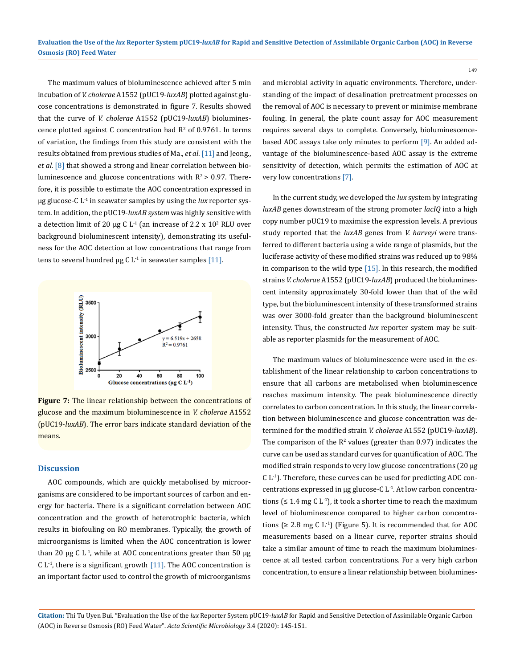The maximum values of bioluminescence achieved after 5 min incubation of *V. cholerae* A1552 (pUC19-*luxAB*) plotted against glucose concentrations is demonstrated in figure 7. Results showed that the curve of *V. cholerae* A1552 (pUC19-*luxAB*) bioluminescence plotted against C concentration had  $\mathbb{R}^2$  of 0.9761. In terms of variation, the findings from this study are consistent with the results obtained from previous studies of Ma., *et al*. [11] and Jeong., *et al.* [8] that showed a strong and linear correlation between bioluminescence and glucose concentrations with  $R^2 > 0.97$ . Therefore, it is possible to estimate the AOC concentration expressed in µg glucose-C L-1 in seawater samples by using the *lux* reporter system. In addition, the pUC19-*luxAB system* was highly sensitive with a detection limit of 20  $\mu$ g C L<sup>-1</sup> (an increase of 2.2 x 10<sup>2</sup> RLU over background bioluminescent intensity), demonstrating its usefulness for the AOC detection at low concentrations that range from tens to several hundred  $\mu$ g C L<sup>-1</sup> in seawater samples [11].



**Figure 7:** The linear relationship between the concentrations of glucose and the maximum bioluminescence in *V. cholerae* A1552 (pUC19-*luxAB*). The error bars indicate standard deviation of the means.

## **Discussion**

AOC compounds, which are quickly metabolised by microorganisms are considered to be important sources of carbon and energy for bacteria. There is a significant correlation between AOC concentration and the growth of heterotrophic bacteria, which results in biofouling on RO membranes. Typically, the growth of microorganisms is limited when the AOC concentration is lower than 20  $\mu$ g C L<sup>-1</sup>, while at AOC concentrations greater than 50  $\mu$ g C  $L<sup>-1</sup>$ , there is a significant growth [11]. The AOC concentration is an important factor used to control the growth of microorganisms

and microbial activity in aquatic environments. Therefore, understanding of the impact of desalination pretreatment processes on the removal of AOC is necessary to prevent or minimise membrane fouling. In general, the plate count assay for AOC measurement requires several days to complete. Conversely, bioluminescencebased AOC assays take only minutes to perform [9]. An added advantage of the bioluminescence-based AOC assay is the extreme sensitivity of detection, which permits the estimation of AOC at very low concentrations [7].

In the current study, we developed the *lux* system by integrating *luxAB* genes downstream of the strong promoter *lacIQ* into a high copy number pUC19 to maximise the expression levels. A previous study reported that the *luxAB* genes from *V. harveyi* were transferred to different bacteria using a wide range of plasmids, but the luciferase activity of these modified strains was reduced up to 98% in comparison to the wild type  $[15]$ . In this research, the modified strains *V. cholerae* A1552 (pUC19-*luxAB*) produced the bioluminescent intensity approximately 30-fold lower than that of the wild type, but the bioluminescent intensity of these transformed strains was over 3000-fold greater than the background bioluminescent intensity. Thus, the constructed *lux* reporter system may be suitable as reporter plasmids for the measurement of AOC.

The maximum values of bioluminescence were used in the establishment of the linear relationship to carbon concentrations to ensure that all carbons are metabolised when bioluminescence reaches maximum intensity. The peak bioluminescence directly correlates to carbon concentration. In this study, the linear correlation between bioluminescence and glucose concentration was determined for the modified strain *V. cholerae* A1552 (pUC19-*luxAB*). The comparison of the  $R^2$  values (greater than 0.97) indicates the curve can be used as standard curves for quantification of AOC. The modified strain responds to very low glucose concentrations (20 µg C L-1). Therefore, these curves can be used for predicting AOC concentrations expressed in  $\mu$ g glucose-C L<sup>-1</sup>. At low carbon concentrations ( $\leq 1.4$  mg C L<sup>-1</sup>), it took a shorter time to reach the maximum level of bioluminescence compared to higher carbon concentrations ( $\geq 2.8$  mg C L<sup>-1</sup>) (Figure 5). It is recommended that for AOC measurements based on a linear curve, reporter strains should take a similar amount of time to reach the maximum bioluminescence at all tested carbon concentrations. For a very high carbon concentration, to ensure a linear relationship between biolumines-

**Citation:** Thi Tu Uyen Bui*.* "Evaluation the Use of the *lux* Reporter System pUC19-*luxAB* for Rapid and Sensitive Detection of Assimilable Organic Carbon (AOC) in Reverse Osmosis (RO) Feed Water". *Acta Scientific Microbiology* 3.4 (2020): 145-151.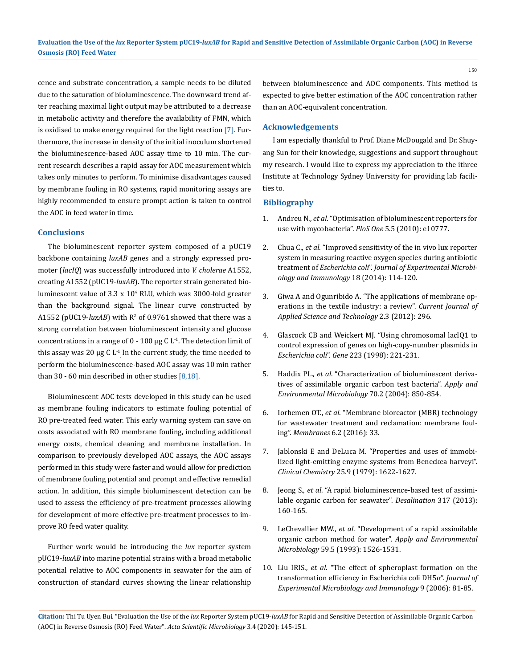cence and substrate concentration, a sample needs to be diluted due to the saturation of bioluminescence. The downward trend after reaching maximal light output may be attributed to a decrease in metabolic activity and therefore the availability of FMN, which is oxidised to make energy required for the light reaction [7]. Furthermore, the increase in density of the initial inoculum shortened the bioluminescence-based AOC assay time to 10 min. The current research describes a rapid assay for AOC measurement which takes only minutes to perform. To minimise disadvantages caused by membrane fouling in RO systems, rapid monitoring assays are highly recommended to ensure prompt action is taken to control the AOC in feed water in time.

## **Conclusions**

The bioluminescent reporter system composed of a pUC19 backbone containing *luxAB* genes and a strongly expressed promoter (*lacIQ*) was successfully introduced into *V. cholerae* A1552, creating A1552 (pUC19-*luxAB*). The reporter strain generated bioluminescent value of 3.3 x 104 RLU, which was 3000-fold greater than the background signal. The linear curve constructed by A1552 (pUC19- $luxAB$ ) with  $R^2$  of 0.9761 showed that there was a strong correlation between bioluminescent intensity and glucose concentrations in a range of  $0 - 100 \mu g C L<sup>1</sup>$ . The detection limit of this assay was 20  $\mu$ g C L<sup>1</sup> In the current study, the time needed to perform the bioluminescence-based AOC assay was 10 min rather than 30 - 60 min described in other studies [8,18].

Bioluminescent AOC tests developed in this study can be used as membrane fouling indicators to estimate fouling potential of RO pre-treated feed water. This early warning system can save on costs associated with RO membrane fouling, including additional energy costs, chemical cleaning and membrane installation. In comparison to previously developed AOC assays, the AOC assays performed in this study were faster and would allow for prediction of membrane fouling potential and prompt and effective remedial action. In addition, this simple bioluminescent detection can be used to assess the efficiency of pre-treatment processes allowing for development of more effective pre-treatment processes to improve RO feed water quality.

Further work would be introducing the *lux* reporter system pUC19-*luxAB* into marine potential strains with a broad metabolic potential relative to AOC components in seawater for the aim of construction of standard curves showing the linear relationship between bioluminescence and AOC components. This method is expected to give better estimation of the AOC concentration rather than an AOC-equivalent concentration.

#### **Acknowledgements**

I am especially thankful to Prof. Diane McDougald and Dr. Shuyang Sun for their knowledge, suggestions and support throughout my research. I would like to express my appreciation to the ithree Institute at Technology Sydney University for providing lab facilities to.

## **Bibliography**

- 1. Andreu N., *et al*[. "Optimisation of bioluminescent reporters for](https://www.ncbi.nlm.nih.gov/pubmed/20520722)  [use with mycobacteria".](https://www.ncbi.nlm.nih.gov/pubmed/20520722) *PloS One* 5.5 (2010): e10777.
- 2. Chua C., *et al*[. "Improved sensitivity of the in vivo lux reporter](https://www.microbiology.ubc.ca/sites/default/files/roles/drupal_ungrad/JEMI/18/20.pdf)  [system in measuring reactive oxygen species during antibiotic](https://www.microbiology.ubc.ca/sites/default/files/roles/drupal_ungrad/JEMI/18/20.pdf)  treatment of *Escherichia coli*". *[Journal of Experimental Microbi](https://www.microbiology.ubc.ca/sites/default/files/roles/drupal_ungrad/JEMI/18/20.pdf)[ology and Immunology](https://www.microbiology.ubc.ca/sites/default/files/roles/drupal_ungrad/JEMI/18/20.pdf)* 18 (2014): 114-120.
- 3. [Giwa A and Ogunribido A. "The applications of membrane op](https://www.semanticscholar.org/paper/The-Applications-of-Membrane-Operations-in-the-A-Giwa-Ogunribido/6b496d93a33b83df2a5889de327f07f90febc17d)[erations in the textile industry: a review".](https://www.semanticscholar.org/paper/The-Applications-of-Membrane-Operations-in-the-A-Giwa-Ogunribido/6b496d93a33b83df2a5889de327f07f90febc17d) *Current Journal of [Applied Science and Technology](https://www.semanticscholar.org/paper/The-Applications-of-Membrane-Operations-in-the-A-Giwa-Ogunribido/6b496d93a33b83df2a5889de327f07f90febc17d)* 2.3 (2012): 296.
- 4. [Glascock CB and Weickert MJ. "Using chromosomal lacIQ1 to](https://www.ncbi.nlm.nih.gov/pubmed/9858738)  [control expression of genes on high-copy-number plasmids in](https://www.ncbi.nlm.nih.gov/pubmed/9858738)  *Escherichia coli*". *Gene* [223 \(1998\): 221-231.](https://www.ncbi.nlm.nih.gov/pubmed/9858738)
- 5. Haddix PL., *et al*[. "Characterization of bioluminescent deriva](https://aem.asm.org/content/70/2/850)[tives of assimilable organic carbon test bacteria".](https://aem.asm.org/content/70/2/850) *Apply and [Environmental Microbiology](https://aem.asm.org/content/70/2/850)* 70.2 (2004): 850-854.
- 6. Iorhemen OT., *et al*[. "Membrane bioreactor \(MBR\) technology](https://www.ncbi.nlm.nih.gov/pubmed/27314394)  [for wastewater treatment and reclamation: membrane foul](https://www.ncbi.nlm.nih.gov/pubmed/27314394)ing". *Membranes* [6.2 \(2016\): 33.](https://www.ncbi.nlm.nih.gov/pubmed/27314394)
- 7. [Jablonski E and DeLuca M. "Properties and uses of immobi](https://academic.oup.com/clinchem/article/25/9/1622/5671485)[lized light-emitting enzyme systems from Beneckea harveyi".](https://academic.oup.com/clinchem/article/25/9/1622/5671485)  *Clinical Chemistry* [25.9 \(1979\): 1622-1627.](https://academic.oup.com/clinchem/article/25/9/1622/5671485)
- 8. Jeong S., *et al*[. "A rapid bioluminescence-based test of assimi](https://www.sciencedirect.com/science/article/abs/pii/S0011916413001215)[lable organic carbon for seawater".](https://www.sciencedirect.com/science/article/abs/pii/S0011916413001215) *Desalination* 317 (2013): [160-165.](https://www.sciencedirect.com/science/article/abs/pii/S0011916413001215)
- 9. LeChevallier MW., *et al*[. "Development of a rapid assimilable](https://www.ncbi.nlm.nih.gov/pmc/articles/PMC182114/)  [organic carbon method for water".](https://www.ncbi.nlm.nih.gov/pmc/articles/PMC182114/) *Apply and Environmental Microbiology* [59.5 \(1993\): 1526-1531.](https://www.ncbi.nlm.nih.gov/pmc/articles/PMC182114/)
- 10. Liu IRIS., *et al*[. "The effect of spheroplast formation on the](https://www.semanticscholar.org/paper/The-Effect-of-Spheroplast-Formation-on-the-in-coli-Liu-Liu/ce434c7f8ad85e972b4087e2317180d90f1b9f37)  [transformation efficiency in Escherichia coli DH5α".](https://www.semanticscholar.org/paper/The-Effect-of-Spheroplast-Formation-on-the-in-coli-Liu-Liu/ce434c7f8ad85e972b4087e2317180d90f1b9f37) *Journal of [Experimental Microbiology and Immunology](https://www.semanticscholar.org/paper/The-Effect-of-Spheroplast-Formation-on-the-in-coli-Liu-Liu/ce434c7f8ad85e972b4087e2317180d90f1b9f37)* 9 (2006): 81-85.

**Citation:** Thi Tu Uyen Bui*.* "Evaluation the Use of the *lux* Reporter System pUC19-*luxAB* for Rapid and Sensitive Detection of Assimilable Organic Carbon (AOC) in Reverse Osmosis (RO) Feed Water". *Acta Scientific Microbiology* 3.4 (2020): 145-151.